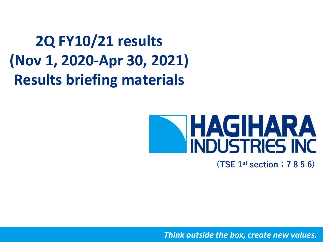**2Q FY10/21 results (Nov 1, 2020-Apr 30, 2021) Results briefing materials**

# **HAGIHARA**<br>INDUSTRIES INC

**(TSE 1st section:7 8 5 6)**

*Think outside the box, create new values.*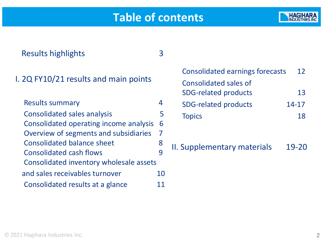## **Table of contents**



| <b>Results highlights</b>               |    |                                               |
|-----------------------------------------|----|-----------------------------------------------|
| I. 2Q FY10/21 results and main points   |    | Consolidated<br>Consolidated<br>SDG-related p |
| <b>Results summary</b>                  | 4  | SDG-related p                                 |
| <b>Consolidated sales analysis</b>      | 5  | <b>Topics</b>                                 |
| Consolidated operating income analysis  | 6  |                                               |
| Overview of segments and subsidiaries   | 7  |                                               |
| <b>Consolidated balance sheet</b>       | 8  | II. Supplementa                               |
| <b>Consolidated cash flows</b>          | 9  |                                               |
| Consolidated inventory wholesale assets |    |                                               |
| and sales receivables turnover          | 10 |                                               |
| Consolidated results at a glance        |    |                                               |

earnings forecasts 12 sales of and products and the set of the set of the set of the set of the set of the set of the set of the set of the s oroducts 14-17 Topics and the set of the set of the set of the set of the set of the set of the set of the set of the set of the set of the set of the set of the set of the set of the set of the set of the set of the set of the set of th

ary materials 19-20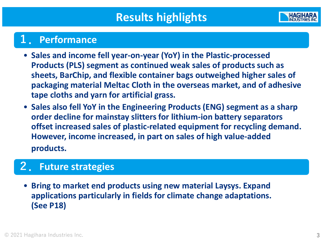

## **1.Performance**

- **Sales and income fell year-on-year (YoY) in the Plastic-processed Products (PLS) segment as continued weak sales of products such as sheets, BarChip, and flexible container bags outweighed higher sales of packaging material Meltac Cloth in the overseas market, and of adhesive tape cloths and yarn for artificial grass.**
- **Sales also fell YoY in the Engineering Products (ENG) segment as a sharp order decline for mainstay slitters for lithium-ion battery separators offset increased sales of plastic-related equipment for recycling demand. However, income increased, in part on sales of high value-added products.**

#### **2.Future strategies**

• **Bring to market end products using new material Laysys. Expand applications particularly in fields for climate change adaptations. (See P18)**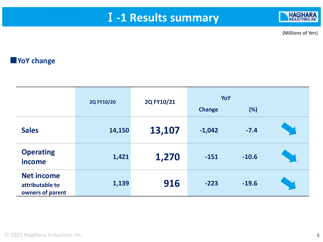## Ⅰ**-1 Results summary**



(Millions of Yen)

#### **■YoY change**

|                                                          | 2Q FY10/20 | 2Q FY10/21 | YoY<br><b>Change</b> | (%)     |  |
|----------------------------------------------------------|------------|------------|----------------------|---------|--|
| <b>Sales</b>                                             | 14,150     | 13,107     | $-1,042$             | $-7.4$  |  |
| <b>Operating</b><br>income                               | 1,421      | 1,270      | $-151$               | $-10.6$ |  |
| <b>Net income</b><br>attributable to<br>owners of parent | 1,139      | 916        | $-223$               | $-19.6$ |  |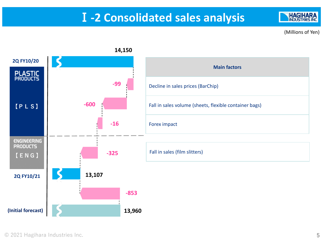## Ⅰ**-2 Consolidated sales analysis**

(Millions of Yen)

**HAGIHARA INDUSTRIES INC** 

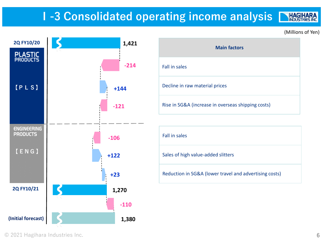## **Ⅰ-3 Consolidated operating income analysis**

(Millions of Yen)

**HAGIHARA** 



| <b>Main factors</b>                                |  |  |  |  |  |
|----------------------------------------------------|--|--|--|--|--|
| <b>Fall in sales</b>                               |  |  |  |  |  |
| Decline in raw material prices                     |  |  |  |  |  |
| Rise in SG&A (increase in overseas shipping costs) |  |  |  |  |  |

Fall in sales

Sales of high value-added slitters

Reduction in SG&A (lower travel and advertising costs)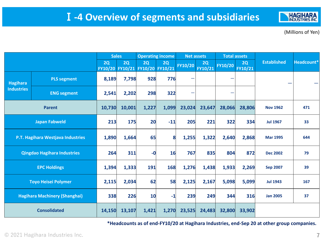

(Millions of Yen)

|                   |                                      | <b>Sales</b> |        | <b>Operating income</b><br><b>Net assets</b> |               |         | <b>Total assets</b> |         |               |                    |            |
|-------------------|--------------------------------------|--------------|--------|----------------------------------------------|---------------|---------|---------------------|---------|---------------|--------------------|------------|
|                   |                                      | 2Q           | 2Q     | 2Q<br>FY10/20 FY10/21 FY10/20                | 2Q<br>FY10/21 | FY10/20 | 2Q<br>FY10/21       | FY10/20 | 2Q<br>FY10/21 | <b>Established</b> | Headcount* |
| <b>Hagihara</b>   | <b>PLS segment</b>                   | 8,189        | 7,798  | 928                                          | 776           | ÷       |                     | -       |               |                    |            |
| <b>Industries</b> | <b>ENG segment</b>                   | 2,541        | 2,202  | 298                                          | 322           | —       |                     |         |               |                    |            |
|                   | <b>Parent</b>                        | 10,730       | 10,001 | 1,227                                        | 1,099         | 23,024  | 23,647              | 28,066  | 28,806        | <b>Nov 1962</b>    | 471        |
|                   | <b>Japan Fabweld</b>                 | 213          | 175    | 20                                           | $-11$         | 205     | 221                 | 322     | 334           | <b>Jul 1967</b>    | 33         |
|                   | P.T. Hagihara Westjava Industries    | 1,890        | 1,664  | 65                                           | 8             | 1,255   | 1,322               | 2,640   | 2,868         | <b>Mar 1995</b>    | 644        |
|                   | <b>Qingdao Hagihara Industries</b>   | 264          | 311    | $-0$                                         | 16            | 767     | 835                 | 804     | 872           | <b>Dec 2002</b>    | 79         |
|                   | <b>EPC Holdings</b>                  | 1,394        | 1,333  | 191                                          | 168           | 1,276   | 1,438               | 1,933   | 2,269         | <b>Sep 2007</b>    | 39         |
|                   | <b>Toyo Heisei Polymer</b>           | 2,115        | 2,034  | 62                                           | 58            | 2,125   | 2,167               | 5,098   | 5,099         | <b>Jul 1943</b>    | 167        |
|                   | <b>Hagihara Machinery (Shanghai)</b> | 338          | 226    | 10                                           | $-1$          | 239     | 249                 | 344     | 316           | <b>Jan 2005</b>    | 37         |
|                   | <b>Consolidated</b>                  | 14,150       | 13,107 | 1,421                                        | 1,270         | 23,525  | 24,483              | 32,800  | 33,902        |                    |            |

**\*Headcounts as of end-FY10/20 at Hagihara Industries, end-Sep 20 at other group companies.**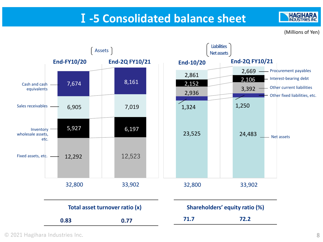## Ⅰ**-5 Consolidated balance sheet**

(Millions of Yen)

**HAGIHARA INDUSTRIES INC** 

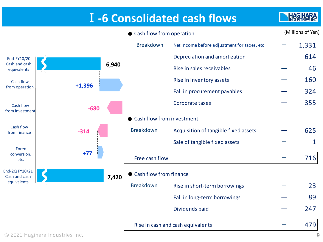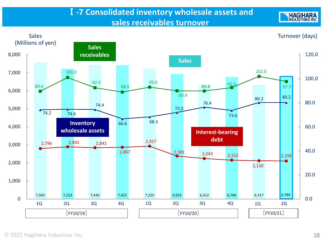#### Ⅰ**-7 Consolidated inventory wholesale assets and sales receivables turnover**



**HAGIHARA**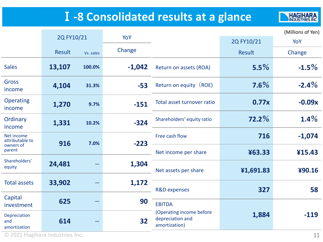# Ⅰ**-8 Consolidated results at a glance**

**HAGIHARA** 

|                                            |            |           |          |                                                               |            | (Millions of Yen) |
|--------------------------------------------|------------|-----------|----------|---------------------------------------------------------------|------------|-------------------|
|                                            | 2Q FY10/21 |           | YoY      |                                                               | 2Q FY10/21 | YoY               |
|                                            | Result     | Vs. sales | Change   |                                                               | Result     | Change            |
| <b>Sales</b>                               | 13,107     | 100.0%    | $-1,042$ | Return on assets (ROA)                                        | 5.5%       | $-1.5\%$          |
| <b>Gross</b><br>income                     | 4,104      | 31.3%     | $-53$    | Return on equity (ROE)                                        | $7.6\%$    | $-2.4\%$          |
| <b>Operating</b><br>income                 | 1,270      | 9.7%      | $-151$   | Total asset turnover ratio                                    | 0.77x      | $-0.09x$          |
| Ordinary<br>income                         | 1,331      | 10.2%     | $-324$   | Shareholders' equity ratio                                    | $72.2\%$   | $1.4\%$           |
| Net income<br>attributable to<br>owners of | 916        | 7.0%      | $-223$   | Free cash flow                                                | 716        | $-1,074$          |
| parent                                     |            |           |          | Net income per share                                          | ¥63.33     | 415.43            |
| Shareholders'<br>equity                    | 24,481     |           | 1,304    | Net assets per share                                          | ¥1,691.83  | ¥90.16            |
| <b>Total assets</b>                        | 33,902     |           | 1,172    | <b>R&amp;D</b> expenses                                       | 327        | 58                |
| Capital<br>investment                      | 625        | –         | 90<br>32 | <b>EBITDA</b>                                                 |            |                   |
| Depreciation<br>and<br>amortization        | 614        |           |          | (Operating income before<br>depreciation and<br>amortization) | 1,884      | $-119$            |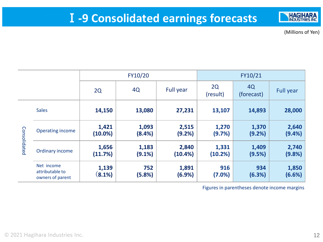

(Millions of Yen)

|              |                                                   | FY10/20             |                    |                     |                  | FY10/21          |                  |
|--------------|---------------------------------------------------|---------------------|--------------------|---------------------|------------------|------------------|------------------|
|              |                                                   | 2Q                  | 4Q                 | <b>Full year</b>    | 2Q<br>(result)   | 4Q<br>(forecast) | <b>Full year</b> |
|              | <b>Sales</b>                                      | 14,150              | 13,080             | 27,231              | 13,107           | 14,893           | 28,000           |
|              | <b>Operating income</b>                           | 1,421<br>$(10.0\%)$ | 1,093<br>(8.4%)    | 2,515<br>(9.2%)     | 1,270<br>(9.7%)  | 1,370<br>(9.2%)  | 2,640<br>(9.4% ) |
| Consolidated | Ordinary income                                   | 1,656<br>(11.7%)    | 1,183<br>$(9.1\%)$ | 2,840<br>$(10.4\%)$ | 1,331<br>(10.2%) | 1,409<br>(9.5%)  | 2,740<br>(9.8%)  |
|              | Net income<br>attributable to<br>owners of parent | 1,139<br>(8.1%)     | 752<br>(5.8%)      | 1,891<br>(6.9%)     | 916<br>(7.0%)    | 934<br>(6.3%)    | 1,850<br>(6.6%)  |

Figures in parentheses denote income margins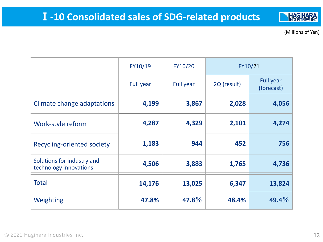(Millions of Yen)

|                                                      | FY10/19          | FY10/20          | FY10/21     |                                |
|------------------------------------------------------|------------------|------------------|-------------|--------------------------------|
|                                                      | <b>Full year</b> | <b>Full year</b> | 2Q (result) | <b>Full year</b><br>(forecast) |
| Climate change adaptations                           | 4,199            | 3,867            | 2,028       | 4,056                          |
| Work-style reform                                    | 4,287            | 4,329            | 2,101       | 4,274                          |
| <b>Recycling-oriented society</b>                    | 1,183            | 944              | 452         | 756                            |
| Solutions for industry and<br>technology innovations | 4,506            | 3,883            | 1,765       | 4,736                          |
| <b>Total</b>                                         | 14,176           | 13,025           | 6,347       | 13,824                         |
| Weighting                                            | 47.8%            | 47.8%            | 48.4%       | $49.4\%$                       |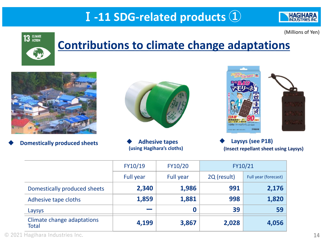# Ⅰ**-11 SDG-related products ①**

(Millions of Yen)

**HAGIHARA INDUSTRIE** 



# **Contributions to climate change adaptations**







**(using Hagihara's cloths)**



◆ **Laysys (see P18) (Insect repellant sheet using Laysys)**

|                                            | FY10/19                  | FY10/20          |             | FY10/21              |
|--------------------------------------------|--------------------------|------------------|-------------|----------------------|
|                                            | Full year                | Full year        | 2Q (result) | Full year (forecast) |
| Domestically produced sheets               | 2,340                    | 1,986            | 991         | 2,176                |
| Adhesive tape cloths                       | 1,859                    | 1,881            | 998         | 1,820                |
| Laysys                                     | <b>Contract Contract</b> | $\boldsymbol{0}$ | 39          | 59                   |
| Climate change adaptations<br><b>Total</b> | 4,199                    | 3,867            | 2,028       | 4,056                |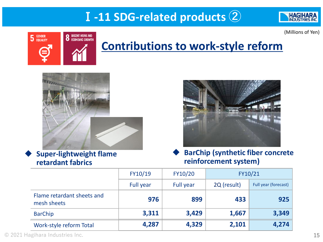# Ⅰ**-11 SDG-related products ②**



(Millions of Yen)



# **Contributions to work-style reform**



**Super-lightweight flame retardant fabrics**



◆ **BarChip (synthetic fiber concrete reinforcement system)**

|                                           | FY10/19          | FY10/20   |             | FY10/21              |
|-------------------------------------------|------------------|-----------|-------------|----------------------|
|                                           | <b>Full year</b> | Full year | 2Q (result) | Full year (forecast) |
| Flame retardant sheets and<br>mesh sheets | 976              | 899       | 433         | 925                  |
| <b>BarChip</b>                            | 3,311            | 3,429     | 1,667       | 3,349                |
| Work-style reform Total                   | 4,287            | 4,329     | 2,101       | 4,274                |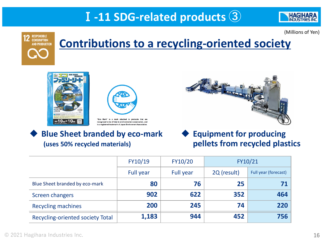# Ⅰ**-11 SDG-related products ③**



(Millions of Yen)



# **Contributions to a recycling-oriented society**





recognized to be of help to environmental conservation, and is a registered trademark of Japan Environment Association

#### **Blue Sheet branded by eco-mark (uses 50% recycled materials)**



**Equipment for producing pellets from recycled plastics**

|                                         | FY10/19          | FY10/20   | FY10/21     |                      |
|-----------------------------------------|------------------|-----------|-------------|----------------------|
|                                         | <b>Full year</b> | Full year | 2Q (result) | Full year (forecast) |
| Blue Sheet branded by eco-mark          | 80               | 76        | 25          |                      |
| Screen changers                         | 902              | 622       | 352         | 464                  |
| <b>Recycling machines</b>               | 200              | 245       | 74          | 220                  |
| <b>Recycling-oriented society Total</b> | 1,183            | 944       | 452         | 756                  |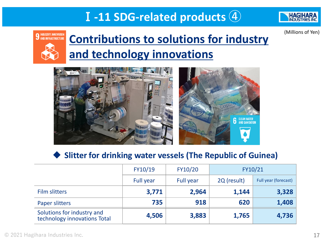# Ⅰ**-11 SDG-related products ④**



(Millions of Yen)

**9 INDUSTRY, INNOVATION<br>AND INFRASTRUCTURE** 

# **Contributions to solutions for industry and technology innovations**



#### **Slitter for drinking water vessels (The Republic of Guinea)**

|                                                            | FY10/19   | FY10/20          |             | FY10/21              |
|------------------------------------------------------------|-----------|------------------|-------------|----------------------|
|                                                            | Full year | <b>Full year</b> | 2Q (result) | Full year (forecast) |
| <b>Film slitters</b>                                       | 3,771     | 2,964            | 1,144       | 3,328                |
| <b>Paper slitters</b>                                      | 735       | 918              | 620         | 1,408                |
| Solutions for industry and<br>technology innovations Total | 4,506     | 3,883            | 1,765       | 4,736                |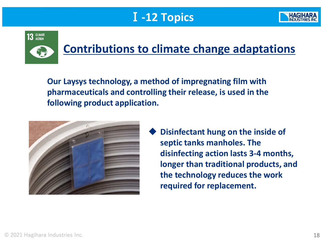# Ⅰ**-12 Topics**





# **Contributions to climate change adaptations**

**Our Laysys technology, a method of impregnating film with pharmaceuticals and controlling their release, is used in the following product application.**



**Disinfectant hung on the inside of septic tanks manholes. The disinfecting action lasts 3-4 months, longer than traditional products, and the technology reduces the work required for replacement.**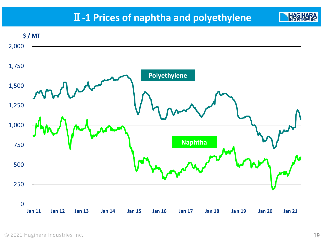### Ⅱ**-1 Prices of naphtha and polyethylene**



**HAGII**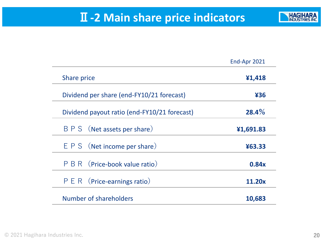## Ⅱ**-2 Main share price indicators**

![](_page_19_Picture_1.jpeg)

|                                              | End-Apr 2021 |
|----------------------------------------------|--------------|
| Share price                                  | ¥1,418       |
| Dividend per share (end-FY10/21 forecast)    | 436          |
| Dividend payout ratio (end-FY10/21 forecast) | $28.4\%$     |
| B P S (Net assets per share)                 | ¥1,691.83    |
| $E P S$ (Net income per share)               | ¥63.33       |
| P B R (Price-book value ratio)               | 0.84x        |
| $P E R$ (Price-earnings ratio)               | 11.20x       |
| Number of shareholders                       | 10,683       |